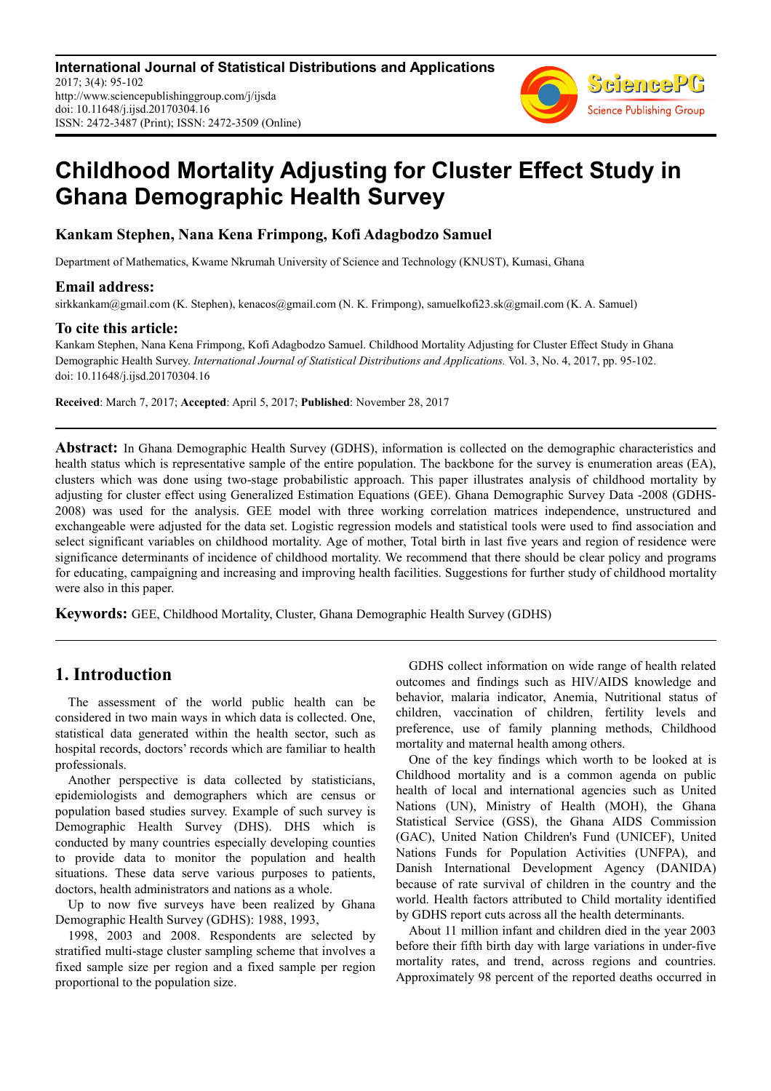**International Journal of Statistical Distributions and Applications** 2017; 3(4): 95-102 http://www.sciencepublishinggroup.com/j/ijsda doi: 10.11648/j.ijsd.20170304.16 ISSN: 2472-3487 (Print); ISSN: 2472-3509 (Online)



# **Childhood Mortality Adjusting for Cluster Effect Study in Ghana Demographic Health Survey**

## **Kankam Stephen, Nana Kena Frimpong, Kofi Adagbodzo Samuel**

Department of Mathematics, Kwame Nkrumah University of Science and Technology (KNUST), Kumasi, Ghana

### **Email address:**

sirkkankam@gmail.com (K. Stephen), kenacos@gmail.com (N. K. Frimpong), samuelkofi23.sk@gmail.com (K. A. Samuel)

## **To cite this article:**

Kankam Stephen, Nana Kena Frimpong, Kofi Adagbodzo Samuel. Childhood Mortality Adjusting for Cluster Effect Study in Ghana Demographic Health Survey. *International Journal of Statistical Distributions and Applications.* Vol. 3, No. 4, 2017, pp. 95-102. doi: 10.11648/j.ijsd.20170304.16

**Received**: March 7, 2017; **Accepted**: April 5, 2017; **Published**: November 28, 2017

**Abstract:** In Ghana Demographic Health Survey (GDHS), information is collected on the demographic characteristics and health status which is representative sample of the entire population. The backbone for the survey is enumeration areas (EA), clusters which was done using two-stage probabilistic approach. This paper illustrates analysis of childhood mortality by adjusting for cluster effect using Generalized Estimation Equations (GEE). Ghana Demographic Survey Data -2008 (GDHS-2008) was used for the analysis. GEE model with three working correlation matrices independence, unstructured and exchangeable were adjusted for the data set. Logistic regression models and statistical tools were used to find association and select significant variables on childhood mortality. Age of mother, Total birth in last five years and region of residence were significance determinants of incidence of childhood mortality. We recommend that there should be clear policy and programs for educating, campaigning and increasing and improving health facilities. Suggestions for further study of childhood mortality were also in this paper.

**Keywords:** GEE, Childhood Mortality, Cluster, Ghana Demographic Health Survey (GDHS)

# **1. Introduction**

The assessment of the world public health can be considered in two main ways in which data is collected. One, statistical data generated within the health sector, such as hospital records, doctors' records which are familiar to health professionals.

Another perspective is data collected by statisticians, epidemiologists and demographers which are census or population based studies survey. Example of such survey is Demographic Health Survey (DHS). DHS which is conducted by many countries especially developing counties to provide data to monitor the population and health situations. These data serve various purposes to patients, doctors, health administrators and nations as a whole.

Up to now five surveys have been realized by Ghana Demographic Health Survey (GDHS): 1988, 1993,

1998, 2003 and 2008. Respondents are selected by stratified multi-stage cluster sampling scheme that involves a fixed sample size per region and a fixed sample per region proportional to the population size.

GDHS collect information on wide range of health related outcomes and findings such as HIV/AIDS knowledge and behavior, malaria indicator, Anemia, Nutritional status of children, vaccination of children, fertility levels and preference, use of family planning methods, Childhood mortality and maternal health among others.

One of the key findings which worth to be looked at is Childhood mortality and is a common agenda on public health of local and international agencies such as United Nations (UN), Ministry of Health (MOH), the Ghana Statistical Service (GSS), the Ghana AIDS Commission (GAC), United Nation Children's Fund (UNICEF), United Nations Funds for Population Activities (UNFPA), and Danish International Development Agency (DANIDA) because of rate survival of children in the country and the world. Health factors attributed to Child mortality identified by GDHS report cuts across all the health determinants.

About 11 million infant and children died in the year 2003 before their fifth birth day with large variations in under-five mortality rates, and trend, across regions and countries. Approximately 98 percent of the reported deaths occurred in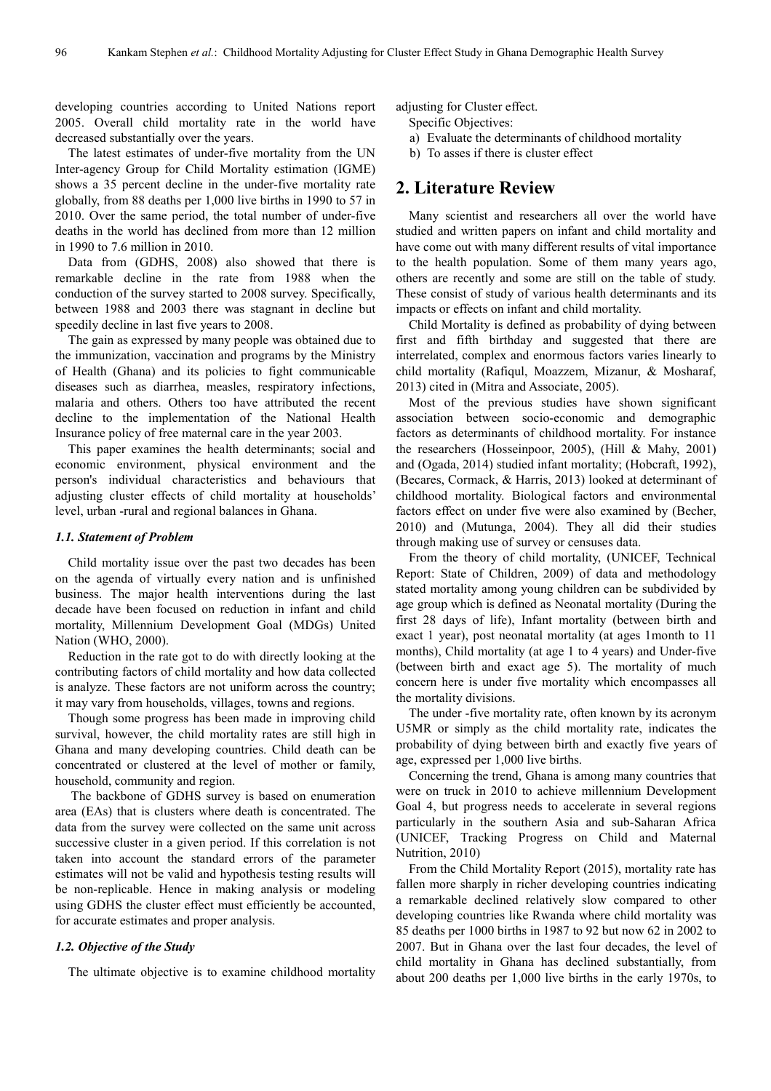developing countries according to United Nations report 2005. Overall child mortality rate in the world have decreased substantially over the years.

The latest estimates of under-five mortality from the UN Inter-agency Group for Child Mortality estimation (IGME) shows a 35 percent decline in the under-five mortality rate globally, from 88 deaths per 1,000 live births in 1990 to 57 in 2010. Over the same period, the total number of under-five deaths in the world has declined from more than 12 million in 1990 to 7.6 million in 2010.

Data from (GDHS, 2008) also showed that there is remarkable decline in the rate from 1988 when the conduction of the survey started to 2008 survey. Specifically, between 1988 and 2003 there was stagnant in decline but speedily decline in last five years to 2008.

The gain as expressed by many people was obtained due to the immunization, vaccination and programs by the Ministry of Health (Ghana) and its policies to fight communicable diseases such as diarrhea, measles, respiratory infections, malaria and others. Others too have attributed the recent decline to the implementation of the National Health Insurance policy of free maternal care in the year 2003.

This paper examines the health determinants; social and economic environment, physical environment and the person's individual characteristics and behaviours that adjusting cluster effects of child mortality at households' level, urban -rural and regional balances in Ghana.

#### *1.1. Statement of Problem*

Child mortality issue over the past two decades has been on the agenda of virtually every nation and is unfinished business. The major health interventions during the last decade have been focused on reduction in infant and child mortality, Millennium Development Goal (MDGs) United Nation (WHO, 2000).

Reduction in the rate got to do with directly looking at the contributing factors of child mortality and how data collected is analyze. These factors are not uniform across the country; it may vary from households, villages, towns and regions.

Though some progress has been made in improving child survival, however, the child mortality rates are still high in Ghana and many developing countries. Child death can be concentrated or clustered at the level of mother or family, household, community and region.

 The backbone of GDHS survey is based on enumeration area (EAs) that is clusters where death is concentrated. The data from the survey were collected on the same unit across successive cluster in a given period. If this correlation is not taken into account the standard errors of the parameter estimates will not be valid and hypothesis testing results will be non-replicable. Hence in making analysis or modeling using GDHS the cluster effect must efficiently be accounted, for accurate estimates and proper analysis.

#### *1.2. Objective of the Study*

The ultimate objective is to examine childhood mortality

adjusting for Cluster effect.

Specific Objectives:

a) Evaluate the determinants of childhood mortality

b) To asses if there is cluster effect

## **2. Literature Review**

Many scientist and researchers all over the world have studied and written papers on infant and child mortality and have come out with many different results of vital importance to the health population. Some of them many years ago, others are recently and some are still on the table of study. These consist of study of various health determinants and its impacts or effects on infant and child mortality.

Child Mortality is defined as probability of dying between first and fifth birthday and suggested that there are interrelated, complex and enormous factors varies linearly to child mortality (Rafiqul, Moazzem, Mizanur, & Mosharaf, 2013) cited in (Mitra and Associate, 2005).

Most of the previous studies have shown significant association between socio-economic and demographic factors as determinants of childhood mortality. For instance the researchers (Hosseinpoor, 2005), (Hill & Mahy, 2001) and (Ogada, 2014) studied infant mortality; (Hobcraft, 1992), (Becares, Cormack, & Harris, 2013) looked at determinant of childhood mortality. Biological factors and environmental factors effect on under five were also examined by (Becher, 2010) and (Mutunga, 2004). They all did their studies through making use of survey or censuses data.

From the theory of child mortality, (UNICEF, Technical Report: State of Children, 2009) of data and methodology stated mortality among young children can be subdivided by age group which is defined as Neonatal mortality (During the first 28 days of life), Infant mortality (between birth and exact 1 year), post neonatal mortality (at ages 1month to 11 months), Child mortality (at age 1 to 4 years) and Under-five (between birth and exact age 5). The mortality of much concern here is under five mortality which encompasses all the mortality divisions.

The under -five mortality rate, often known by its acronym U5MR or simply as the child mortality rate, indicates the probability of dying between birth and exactly five years of age, expressed per 1,000 live births.

Concerning the trend, Ghana is among many countries that were on truck in 2010 to achieve millennium Development Goal 4, but progress needs to accelerate in several regions particularly in the southern Asia and sub-Saharan Africa (UNICEF, Tracking Progress on Child and Maternal Nutrition, 2010)

From the Child Mortality Report (2015), mortality rate has fallen more sharply in richer developing countries indicating a remarkable declined relatively slow compared to other developing countries like Rwanda where child mortality was 85 deaths per 1000 births in 1987 to 92 but now 62 in 2002 to 2007. But in Ghana over the last four decades, the level of child mortality in Ghana has declined substantially, from about 200 deaths per 1,000 live births in the early 1970s, to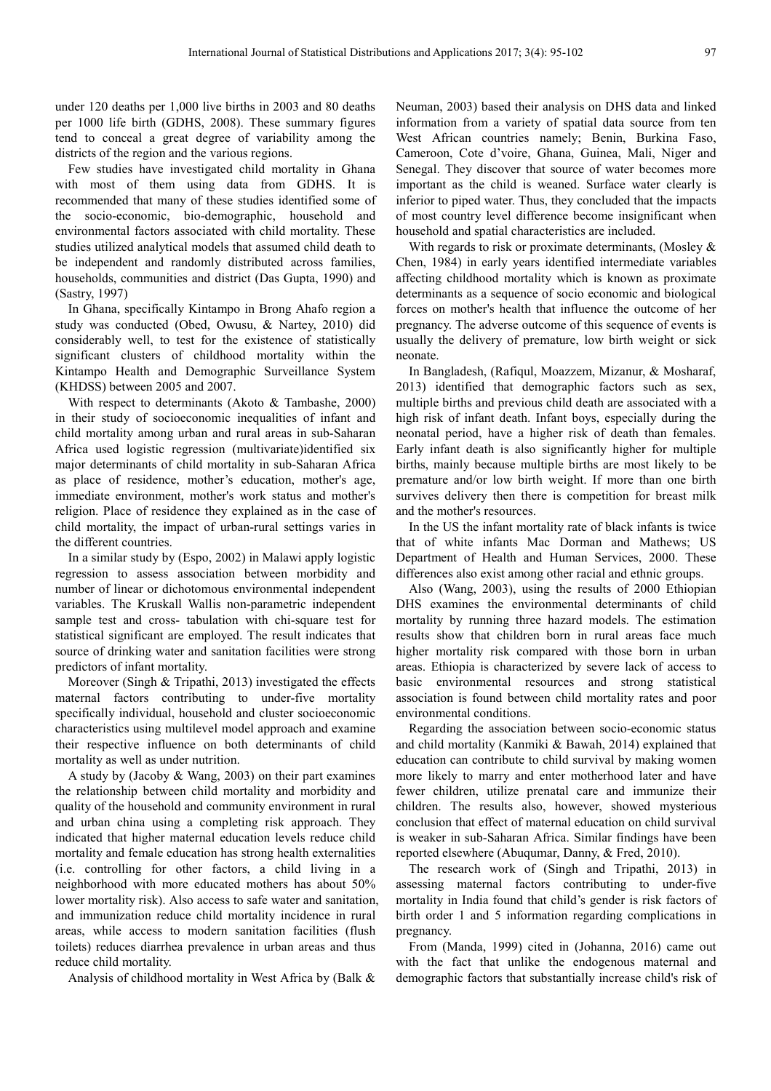under 120 deaths per 1,000 live births in 2003 and 80 deaths per 1000 life birth (GDHS, 2008). These summary figures tend to conceal a great degree of variability among the districts of the region and the various regions.

Few studies have investigated child mortality in Ghana with most of them using data from GDHS. It is recommended that many of these studies identified some of the socio-economic, bio-demographic, household and environmental factors associated with child mortality. These studies utilized analytical models that assumed child death to be independent and randomly distributed across families, households, communities and district (Das Gupta, 1990) and (Sastry, 1997)

In Ghana, specifically Kintampo in Brong Ahafo region a study was conducted (Obed, Owusu, & Nartey, 2010) did considerably well, to test for the existence of statistically significant clusters of childhood mortality within the Kintampo Health and Demographic Surveillance System (KHDSS) between 2005 and 2007.

With respect to determinants (Akoto & Tambashe, 2000) in their study of socioeconomic inequalities of infant and child mortality among urban and rural areas in sub-Saharan Africa used logistic regression (multivariate)identified six major determinants of child mortality in sub-Saharan Africa as place of residence, mother's education, mother's age, immediate environment, mother's work status and mother's religion. Place of residence they explained as in the case of child mortality, the impact of urban-rural settings varies in the different countries.

In a similar study by (Espo, 2002) in Malawi apply logistic regression to assess association between morbidity and number of linear or dichotomous environmental independent variables. The Kruskall Wallis non-parametric independent sample test and cross- tabulation with chi-square test for statistical significant are employed. The result indicates that source of drinking water and sanitation facilities were strong predictors of infant mortality.

Moreover (Singh & Tripathi, 2013) investigated the effects maternal factors contributing to under-five mortality specifically individual, household and cluster socioeconomic characteristics using multilevel model approach and examine their respective influence on both determinants of child mortality as well as under nutrition.

A study by (Jacoby & Wang, 2003) on their part examines the relationship between child mortality and morbidity and quality of the household and community environment in rural and urban china using a completing risk approach. They indicated that higher maternal education levels reduce child mortality and female education has strong health externalities (i.e. controlling for other factors, a child living in a neighborhood with more educated mothers has about 50% lower mortality risk). Also access to safe water and sanitation, and immunization reduce child mortality incidence in rural areas, while access to modern sanitation facilities (flush toilets) reduces diarrhea prevalence in urban areas and thus reduce child mortality.

Analysis of childhood mortality in West Africa by (Balk &

Neuman, 2003) based their analysis on DHS data and linked information from a variety of spatial data source from ten West African countries namely; Benin, Burkina Faso, Cameroon, Cote d'voire, Ghana, Guinea, Mali, Niger and Senegal. They discover that source of water becomes more important as the child is weaned. Surface water clearly is inferior to piped water. Thus, they concluded that the impacts of most country level difference become insignificant when household and spatial characteristics are included.

With regards to risk or proximate determinants, (Mosley & Chen, 1984) in early years identified intermediate variables affecting childhood mortality which is known as proximate determinants as a sequence of socio economic and biological forces on mother's health that influence the outcome of her pregnancy. The adverse outcome of this sequence of events is usually the delivery of premature, low birth weight or sick neonate.

In Bangladesh, (Rafiqul, Moazzem, Mizanur, & Mosharaf, 2013) identified that demographic factors such as sex, multiple births and previous child death are associated with a high risk of infant death. Infant boys, especially during the neonatal period, have a higher risk of death than females. Early infant death is also significantly higher for multiple births, mainly because multiple births are most likely to be premature and/or low birth weight. If more than one birth survives delivery then there is competition for breast milk and the mother's resources.

In the US the infant mortality rate of black infants is twice that of white infants Mac Dorman and Mathews; US Department of Health and Human Services, 2000. These differences also exist among other racial and ethnic groups.

Also (Wang, 2003), using the results of 2000 Ethiopian DHS examines the environmental determinants of child mortality by running three hazard models. The estimation results show that children born in rural areas face much higher mortality risk compared with those born in urban areas. Ethiopia is characterized by severe lack of access to basic environmental resources and strong statistical association is found between child mortality rates and poor environmental conditions.

Regarding the association between socio-economic status and child mortality (Kanmiki & Bawah, 2014) explained that education can contribute to child survival by making women more likely to marry and enter motherhood later and have fewer children, utilize prenatal care and immunize their children. The results also, however, showed mysterious conclusion that effect of maternal education on child survival is weaker in sub-Saharan Africa. Similar findings have been reported elsewhere (Abuqumar, Danny, & Fred, 2010).

The research work of (Singh and Tripathi, 2013) in assessing maternal factors contributing to under-five mortality in India found that child's gender is risk factors of birth order 1 and 5 information regarding complications in pregnancy.

From (Manda, 1999) cited in (Johanna, 2016) came out with the fact that unlike the endogenous maternal and demographic factors that substantially increase child's risk of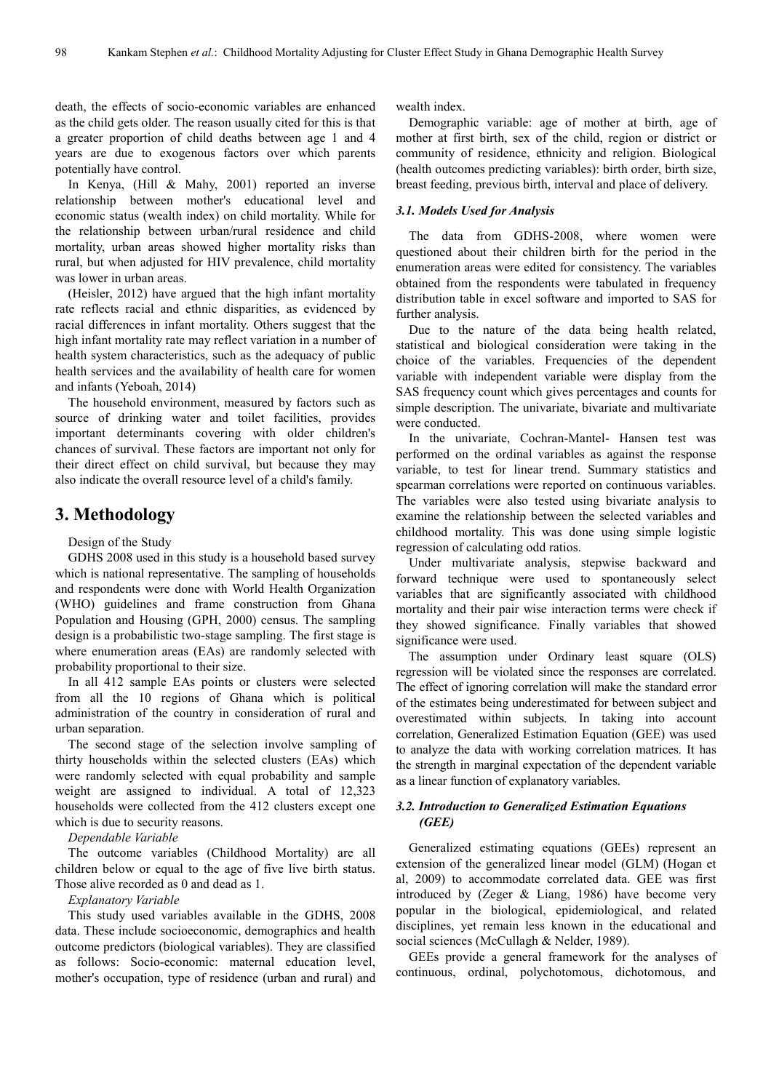death, the effects of socio-economic variables are enhanced as the child gets older. The reason usually cited for this is that a greater proportion of child deaths between age 1 and 4 years are due to exogenous factors over which parents potentially have control.

In Kenya, (Hill & Mahy, 2001) reported an inverse relationship between mother's educational level and economic status (wealth index) on child mortality. While for the relationship between urban/rural residence and child mortality, urban areas showed higher mortality risks than rural, but when adjusted for HIV prevalence, child mortality was lower in urban areas.

(Heisler, 2012) have argued that the high infant mortality rate reflects racial and ethnic disparities, as evidenced by racial differences in infant mortality. Others suggest that the high infant mortality rate may reflect variation in a number of health system characteristics, such as the adequacy of public health services and the availability of health care for women and infants (Yeboah, 2014)

The household environment, measured by factors such as source of drinking water and toilet facilities, provides important determinants covering with older children's chances of survival. These factors are important not only for their direct effect on child survival, but because they may also indicate the overall resource level of a child's family.

## **3. Methodology**

#### Design of the Study

GDHS 2008 used in this study is a household based survey which is national representative. The sampling of households and respondents were done with World Health Organization (WHO) guidelines and frame construction from Ghana Population and Housing (GPH, 2000) census. The sampling design is a probabilistic two-stage sampling. The first stage is where enumeration areas (EAs) are randomly selected with probability proportional to their size.

In all 412 sample EAs points or clusters were selected from all the 10 regions of Ghana which is political administration of the country in consideration of rural and urban separation.

The second stage of the selection involve sampling of thirty households within the selected clusters (EAs) which were randomly selected with equal probability and sample weight are assigned to individual. A total of 12,323 households were collected from the 412 clusters except one which is due to security reasons.

*Dependable Variable* 

The outcome variables (Childhood Mortality) are all children below or equal to the age of five live birth status. Those alive recorded as 0 and dead as 1.

#### *Explanatory Variable*

This study used variables available in the GDHS, 2008 data. These include socioeconomic, demographics and health outcome predictors (biological variables). They are classified as follows: Socio-economic: maternal education level, mother's occupation, type of residence (urban and rural) and

wealth index.

Demographic variable: age of mother at birth, age of mother at first birth, sex of the child, region or district or community of residence, ethnicity and religion. Biological (health outcomes predicting variables): birth order, birth size, breast feeding, previous birth, interval and place of delivery.

#### *3.1. Models Used for Analysis*

The data from GDHS-2008, where women were questioned about their children birth for the period in the enumeration areas were edited for consistency. The variables obtained from the respondents were tabulated in frequency distribution table in excel software and imported to SAS for further analysis.

Due to the nature of the data being health related, statistical and biological consideration were taking in the choice of the variables. Frequencies of the dependent variable with independent variable were display from the SAS frequency count which gives percentages and counts for simple description. The univariate, bivariate and multivariate were conducted.

In the univariate, Cochran-Mantel- Hansen test was performed on the ordinal variables as against the response variable, to test for linear trend. Summary statistics and spearman correlations were reported on continuous variables. The variables were also tested using bivariate analysis to examine the relationship between the selected variables and childhood mortality. This was done using simple logistic regression of calculating odd ratios.

Under multivariate analysis, stepwise backward and forward technique were used to spontaneously select variables that are significantly associated with childhood mortality and their pair wise interaction terms were check if they showed significance. Finally variables that showed significance were used.

The assumption under Ordinary least square (OLS) regression will be violated since the responses are correlated. The effect of ignoring correlation will make the standard error of the estimates being underestimated for between subject and overestimated within subjects. In taking into account correlation, Generalized Estimation Equation (GEE) was used to analyze the data with working correlation matrices. It has the strength in marginal expectation of the dependent variable as a linear function of explanatory variables.

#### *3.2. Introduction to Generalized Estimation Equations (GEE)*

Generalized estimating equations (GEEs) represent an extension of the generalized linear model (GLM) (Hogan et al, 2009) to accommodate correlated data. GEE was first introduced by (Zeger & Liang, 1986) have become very popular in the biological, epidemiological, and related disciplines, yet remain less known in the educational and social sciences (McCullagh & Nelder, 1989).

GEEs provide a general framework for the analyses of continuous, ordinal, polychotomous, dichotomous, and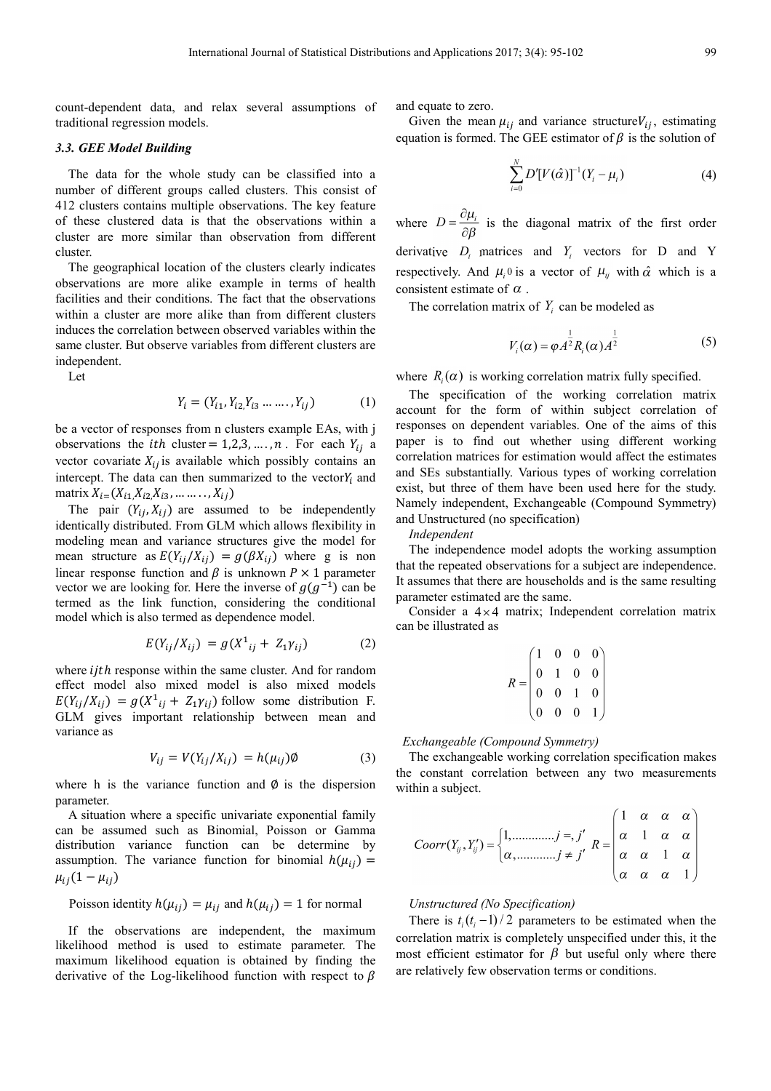count-dependent data, and relax several assumptions of traditional regression models.

#### *3.3. GEE Model Building*

The data for the whole study can be classified into a number of different groups called clusters. This consist of 412 clusters contains multiple observations. The key feature of these clustered data is that the observations within a cluster are more similar than observation from different cluster.

The geographical location of the clusters clearly indicates observations are more alike example in terms of health facilities and their conditions. The fact that the observations within a cluster are more alike than from different clusters induces the correlation between observed variables within the same cluster. But observe variables from different clusters are independent.

Let

$$
Y_i = (Y_{i1}, Y_{i2}, Y_{i3} \dots \dots, Y_{ij})
$$
 (1)

be a vector of responses from n clusters example EAs, with j observations the *ith* cluster = 1,2,3, ..., *n*. For each  $Y_{ij}$  a vector covariate  $X_{ij}$  is available which possibly contains an intercept. The data can then summarized to the vector $Y_i$  and matrix  $X_{i} = (X_{i1}, X_{i2}, X_{i3}, \dots, X_{ij})$ 

The pair  $(Y_{ij}, X_{ij})$  are assumed to be independently identically distributed. From GLM which allows flexibility in modeling mean and variance structures give the model for mean structure as  $E(Y_{ij}/X_{ij}) = g(\beta X_{ij})$  where g is non linear response function and  $\beta$  is unknown  $P \times 1$  parameter vector we are looking for. Here the inverse of  $g(g^{-1})$  can be termed as the link function, considering the conditional model which is also termed as dependence model.

$$
E(Y_{ij}/X_{ij}) = g(X^{1}_{ij} + Z_{1}Y_{ij})
$$
 (2)

where *ijth* response within the same cluster. And for random effect model also mixed model is also mixed models  $E(Y_{ij}/X_{ij}) = g(X^1_{ij} + Z_1 \gamma_{ij})$  follow some distribution F. GLM gives important relationship between mean and variance as

$$
V_{ij} = V(Y_{ij}/X_{ij}) = h(\mu_{ij})\emptyset
$$
\n(3)

where h is the variance function and  $\phi$  is the dispersion parameter.

A situation where a specific univariate exponential family can be assumed such as Binomial, Poisson or Gamma distribution variance function can be determine by assumption. The variance function for binomial  $h(\mu_{ij}) =$  $\mu_{ij}(1-\mu_{ij})$ 

Poisson identity 
$$
h(\mu_{ij}) = \mu_{ij}
$$
 and  $h(\mu_{ij}) = 1$  for normal

If the observations are independent, the maximum likelihood method is used to estimate parameter. The maximum likelihood equation is obtained by finding the derivative of the Log-likelihood function with respect to  $\beta$  and equate to zero.

Given the mean  $\mu_{ij}$  and variance structure  $V_{ij}$ , estimating equation is formed. The GEE estimator of  $\beta$  is the solution of

$$
\sum_{i=0}^{N} D'[V(\hat{\alpha})]^{-1} (Y_i - \mu_i)
$$
 (4)

where  $D = \frac{\partial \mu_i}{\partial \beta}$  is the diagonal matrix of the first order derivative  $D_i$  matrices and  $Y_i$  vectors for D and Y respectively. And  $\mu_i$ <sup>0</sup> is a vector of  $\mu_{ij}$  with  $\hat{\alpha}$  which is a consistent estimate of  $\alpha$ .

The correlation matrix of  $Y_i$  can be modeled as

$$
V_i(\alpha) = \varphi A^{\frac{1}{2}} R_i(\alpha) A^{\frac{1}{2}}
$$
 (5)

where  $R_i(\alpha)$  is working correlation matrix fully specified.

The specification of the working correlation matrix account for the form of within subject correlation of responses on dependent variables. One of the aims of this paper is to find out whether using different working correlation matrices for estimation would affect the estimates and SEs substantially. Various types of working correlation exist, but three of them have been used here for the study. Namely independent, Exchangeable (Compound Symmetry) and Unstructured (no specification)

*Independent* 

The independence model adopts the working assumption that the repeated observations for a subject are independence. It assumes that there are households and is the same resulting parameter estimated are the same.

Consider a  $4 \times 4$  matrix; Independent correlation matrix can be illustrated as

| R |                                                         | $\overline{0}$ | $\bf{0}$       | $\ket{0}$      |
|---|---------------------------------------------------------|----------------|----------------|----------------|
|   |                                                         |                | $\overline{0}$ | $\overline{0}$ |
|   | $\begin{bmatrix} 0 & 1 \\ 0 & 0 \\ 0 & 0 \end{bmatrix}$ |                |                | $\overline{0}$ |
|   |                                                         |                | $\overline{0}$ |                |

*Exchangeable (Compound Symmetry)* 

The exchangeable working correlation specification makes the constant correlation between any two measurements within a subject.

$$
Coorr(Y_{ij}, Y'_{ij}) = \begin{cases} 1, \dots, \dots, j = j' \\ \alpha, \dots, \dots, j \neq j' \end{cases} R = \begin{pmatrix} 1 & \alpha & \alpha & \alpha \\ \alpha & 1 & \alpha & \alpha \\ \alpha & \alpha & 1 & \alpha \\ \alpha & \alpha & \alpha & 1 \end{pmatrix}
$$

#### *Unstructured (No Specification)*

There is  $t_i(t_i-1)/2$  parameters to be estimated when the correlation matrix is completely unspecified under this, it the most efficient estimator for  $\beta$  but useful only where there are relatively few observation terms or conditions.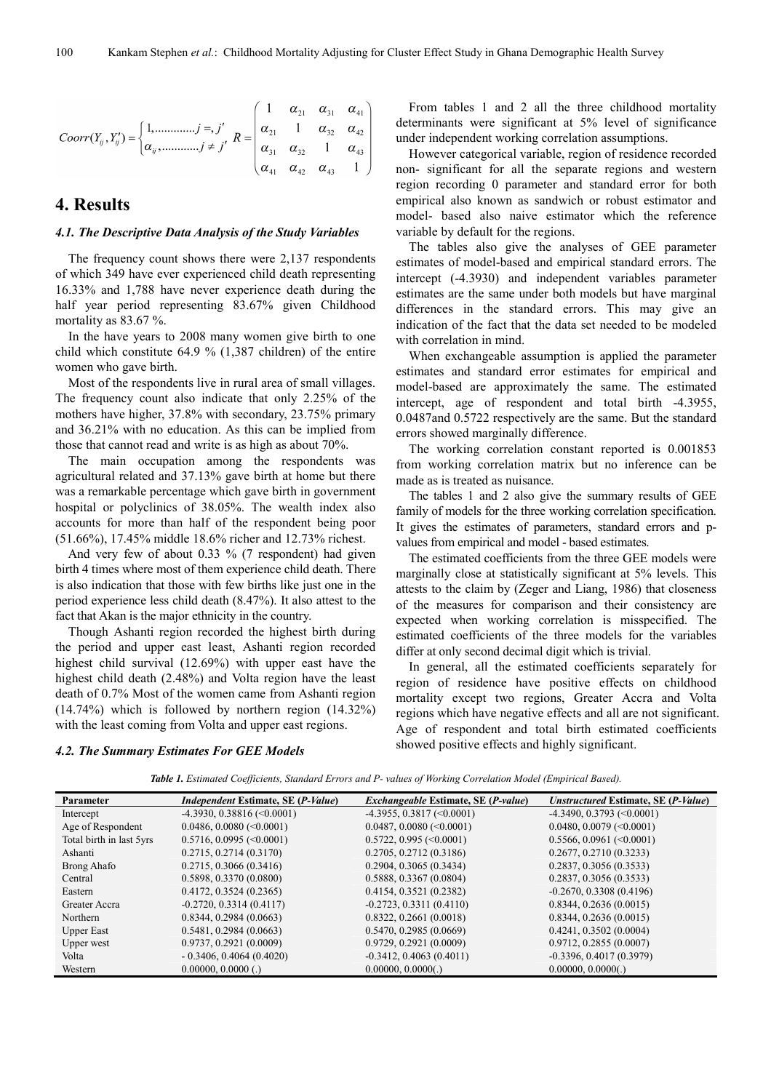$$
Coorr(Y_{ij}, Y'_{ij}) = \begin{cases} 1, \dots, \dots, j = j' \\ \alpha_{ij}, \dots, \dots, j \neq j' \end{cases} R = \begin{pmatrix} 1 & \alpha_{21} & \alpha_{31} & \alpha_{41} \\ \alpha_{21} & 1 & \alpha_{32} & \alpha_{42} \\ \alpha_{31} & \alpha_{32} & 1 & \alpha_{43} \\ \alpha_{41} & \alpha_{42} & \alpha_{43} & 1 \end{pmatrix}
$$

# **4. Results**

#### *4.1. The Descriptive Data Analysis of the Study Variables*

The frequency count shows there were 2,137 respondents of which 349 have ever experienced child death representing 16.33% and 1,788 have never experience death during the half year period representing 83.67% given Childhood mortality as 83.67 %.

In the have years to 2008 many women give birth to one child which constitute 64.9 % (1,387 children) of the entire women who gave birth.

Most of the respondents live in rural area of small villages. The frequency count also indicate that only 2.25% of the mothers have higher, 37.8% with secondary, 23.75% primary and 36.21% with no education. As this can be implied from those that cannot read and write is as high as about 70%.

The main occupation among the respondents was agricultural related and 37.13% gave birth at home but there was a remarkable percentage which gave birth in government hospital or polyclinics of 38.05%. The wealth index also accounts for more than half of the respondent being poor (51.66%), 17.45% middle 18.6% richer and 12.73% richest.

And very few of about 0.33 % (7 respondent) had given birth 4 times where most of them experience child death. There is also indication that those with few births like just one in the period experience less child death (8.47%). It also attest to the fact that Akan is the major ethnicity in the country.

Though Ashanti region recorded the highest birth during the period and upper east least, Ashanti region recorded highest child survival (12.69%) with upper east have the highest child death (2.48%) and Volta region have the least death of 0.7% Most of the women came from Ashanti region (14.74%) which is followed by northern region (14.32%) with the least coming from Volta and upper east regions.

From tables 1 and 2 all the three childhood mortality determinants were significant at 5% level of significance under independent working correlation assumptions.

However categorical variable, region of residence recorded non- significant for all the separate regions and western region recording 0 parameter and standard error for both empirical also known as sandwich or robust estimator and model- based also naive estimator which the reference variable by default for the regions.

The tables also give the analyses of GEE parameter estimates of model-based and empirical standard errors. The intercept (-4.3930) and independent variables parameter estimates are the same under both models but have marginal differences in the standard errors. This may give an indication of the fact that the data set needed to be modeled with correlation in mind.

When exchangeable assumption is applied the parameter estimates and standard error estimates for empirical and model-based are approximately the same. The estimated intercept, age of respondent and total birth -4.3955, 0.0487and 0.5722 respectively are the same. But the standard errors showed marginally difference.

The working correlation constant reported is 0.001853 from working correlation matrix but no inference can be made as is treated as nuisance.

The tables 1 and 2 also give the summary results of GEE family of models for the three working correlation specification. It gives the estimates of parameters, standard errors and pvalues from empirical and model - based estimates.

The estimated coefficients from the three GEE models were marginally close at statistically significant at 5% levels. This attests to the claim by (Zeger and Liang, 1986) that closeness of the measures for comparison and their consistency are expected when working correlation is misspecified. The estimated coefficients of the three models for the variables differ at only second decimal digit which is trivial.

In general, all the estimated coefficients separately for region of residence have positive effects on childhood mortality except two regions, Greater Accra and Volta regions which have negative effects and all are not significant. Age of respondent and total birth estimated coefficients showed positive effects and highly significant.

#### *4.2. The Summary Estimates For GEE Models*

|  | <b>Table 1.</b> Estimated Coefficients, Standard Errors and P- values of Working Correlation Model (Empirical Based). |
|--|-----------------------------------------------------------------------------------------------------------------------|
|--|-----------------------------------------------------------------------------------------------------------------------|

| <b>Parameter</b>         | <i>Independent Estimate, SE (P-Value)</i> | <i>Exchangeable Estimate, SE (P-value)</i> | Unstructured Estimate, SE (P-Value) |
|--------------------------|-------------------------------------------|--------------------------------------------|-------------------------------------|
| Intercept                | $-4.3930, 0.38816$ (<0.0001)              | $-4.3955, 0.3817 \approx 0.0001$           | $-4.3490, 0.3793$ (<0.0001)         |
| Age of Respondent        | $0.0486, 0.0080 \, (<0.0001)$             | $0.0487, 0.0080$ (<0.0001)                 | $0.0480, 0.0079$ (<0.0001)          |
| Total birth in last 5yrs | $0.5716, 0.0995$ (<0.0001)                | $0.5722, 0.995 \approx 0.0001$             | $0.5566, 0.0961$ (<0.0001)          |
| Ashanti                  | 0.2715, 0.2714 (0.3170)                   | 0.2705, 0.2712(0.3186)                     | 0.2677, 0.2710 (0.3233)             |
| Brong Ahafo              | $0.2715, 0.3066$ (0.3416)                 | $0.2904, 0.3065$ (0.3434)                  | $0.2837, 0.3056$ (0.3533)           |
| Central                  | 0.5898, 0.3370 (0.0800)                   | $0.5888, 0.3367$ (0.0804)                  | $0.2837, 0.3056$ (0.3533)           |
| Eastern                  | $0.4172, 0.3524$ (0.2365)                 | $0.4154, 0.3521$ (0.2382)                  | $-0.2670, 0.3308$ (0.4196)          |
| Greater Accra            | $-0.2720, 0.3314(0.4117)$                 | $-0.2723, 0.3311 (0.4110)$                 | 0.8344, 0.2636 (0.0015)             |
| Northern                 | $0.8344, 0.2984$ (0.0663)                 | 0.8322, 0.2661 (0.0018)                    | 0.8344, 0.2636 (0.0015)             |
| <b>Upper East</b>        | $0.5481, 0.2984$ (0.0663)                 | $0.5470, 0.2985$ (0.0669)                  | $0.4241, 0.3502$ (0.0004)           |
| Upper west               | 0.9737, 0.2921 (0.0009)                   | 0.9729, 0.2921 (0.0009)                    | 0.9712, 0.2855 (0.0007)             |
| Volta                    | $-0.3406, 0.4064$ (0.4020)                | $-0.3412, 0.4063$ (0.4011)                 | $-0.3396, 0.4017(0.3979)$           |
| Western                  | $0.00000, 0.0000$ (.)                     | $0.00000$ , $0.0000$ (.)                   | 0.00000, 0.0000(.)                  |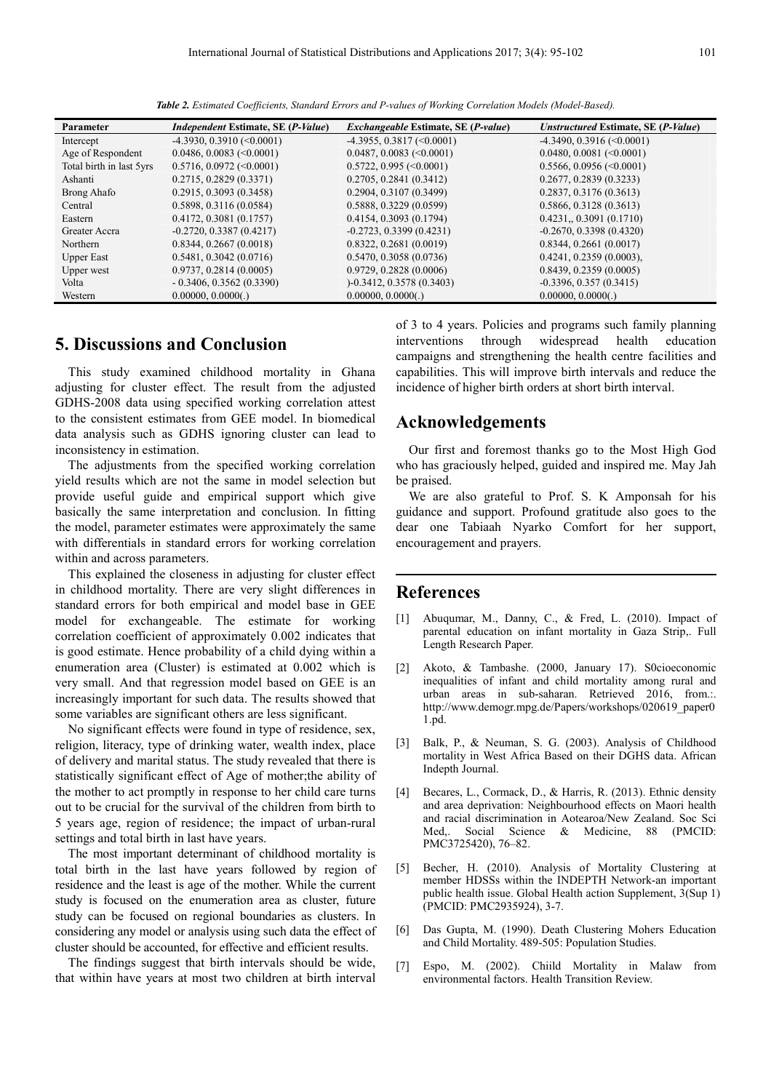| Parameter                | <i>Independent Estimate, SE (P-Value)</i> | <i>Exchangeable Estimate, SE (P-value)</i> | Unstructured Estimate, SE (P-Value) |
|--------------------------|-------------------------------------------|--------------------------------------------|-------------------------------------|
| Intercept                | $-4.3930, 0.3910$ (<0.0001)               | $-4.3955, 0.3817 \approx 0.0001$           | $-4.3490, 0.3916$ (<0.0001)         |
| Age of Respondent        | $0.0486, 0.0083$ (<0.0001)                | $0.0487, 0.0083$ (<0.0001)                 | $0.0480, 0.0081$ (<0.0001)          |
| Total birth in last 5yrs | $0.5716, 0.0972 \, (\leq 0.0001)$         | $0.5722, 0.995 \, (\leq 0.0001)$           | $0.5566, 0.0956 \, (\leq 0.0001)$   |
| Ashanti                  | $0.2715, 0.2829$ (0.3371)                 | 0.2705, 0.2841(0.3412)                     | $0.2677, 0.2839$ (0.3233)           |
| Brong Ahafo              | $0.2915, 0.3093$ $(0.3458)$               | 0.2904, 0.3107(0.3499)                     | $0.2837, 0.3176$ (0.3613)           |
| Central                  | 0.5898, 0.3116(0.0584)                    | $0.5888, 0.3229$ (0.0599)                  | 0.5866, 0.3128(0.3613)              |
| Eastern                  | $0.4172, 0.3081$ (0.1757)                 | $0.4154, 0.3093$ (0.1794)                  | $0.4231$ , $0.3091$ $(0.1710)$      |
| Greater Accra            | $-0.2720, 0.3387$ (0.4217)                | $-0.2723, 0.3399$ (0.4231)                 | $-0.2670, 0.3398$ (0.4320)          |
| Northern                 | 0.8344, 0.2667(0.0018)                    | $0.8322, 0.2681$ (0.0019)                  | 0.8344, 0.2661 (0.0017)             |
| <b>Upper East</b>        | $0.5481, 0.3042$ (0.0716)                 | 0.5470, 0.3058(0.0736)                     | $0.4241, 0.2359$ (0.0003).          |
| Upper west               | 0.9737, 0.2814 (0.0005)                   | $0.9729, 0.2828$ (0.0006)                  | $0.8439, 0.2359$ (0.0005)           |
| Volta                    | $-0.3406, 0.3562$ (0.3390)                | $-0.3412, 0.3578$ (0.3403)                 | $-0.3396, 0.357(0.3415)$            |
| Western                  | 0.00000, 0.0000()                         | 0.00000, 0.0000()                          | 0.00000, 0.0000(.)                  |

*Table 2. Estimated Coefficients, Standard Errors and P-values of Working Correlation Models (Model-Based).* 

# **5. Discussions and Conclusion**

This study examined childhood mortality in Ghana adjusting for cluster effect. The result from the adjusted GDHS-2008 data using specified working correlation attest to the consistent estimates from GEE model. In biomedical data analysis such as GDHS ignoring cluster can lead to inconsistency in estimation.

The adjustments from the specified working correlation yield results which are not the same in model selection but provide useful guide and empirical support which give basically the same interpretation and conclusion. In fitting the model, parameter estimates were approximately the same with differentials in standard errors for working correlation within and across parameters.

This explained the closeness in adjusting for cluster effect in childhood mortality. There are very slight differences in standard errors for both empirical and model base in GEE model for exchangeable. The estimate for working correlation coefficient of approximately 0.002 indicates that is good estimate. Hence probability of a child dying within a enumeration area (Cluster) is estimated at 0.002 which is very small. And that regression model based on GEE is an increasingly important for such data. The results showed that some variables are significant others are less significant.

No significant effects were found in type of residence, sex, religion, literacy, type of drinking water, wealth index, place of delivery and marital status. The study revealed that there is statistically significant effect of Age of mother;the ability of the mother to act promptly in response to her child care turns out to be crucial for the survival of the children from birth to 5 years age, region of residence; the impact of urban-rural settings and total birth in last have years.

The most important determinant of childhood mortality is total birth in the last have years followed by region of residence and the least is age of the mother. While the current study is focused on the enumeration area as cluster, future study can be focused on regional boundaries as clusters. In considering any model or analysis using such data the effect of cluster should be accounted, for effective and efficient results.

The findings suggest that birth intervals should be wide, that within have years at most two children at birth interval of 3 to 4 years. Policies and programs such family planning interventions through widespread health education campaigns and strengthening the health centre facilities and capabilities. This will improve birth intervals and reduce the incidence of higher birth orders at short birth interval.

# **Acknowledgements**

Our first and foremost thanks go to the Most High God who has graciously helped, guided and inspired me. May Jah be praised.

We are also grateful to Prof. S. K Amponsah for his guidance and support. Profound gratitude also goes to the dear one Tabiaah Nyarko Comfort for her support, encouragement and prayers.

## **References**

- [1] Abuqumar, M., Danny, C., & Fred, L. (2010). Impact of parental education on infant mortality in Gaza Strip,. Full Length Research Paper.
- [2] Akoto, & Tambashe. (2000, January 17). S0cioeconomic inequalities of infant and child mortality among rural and urban areas in sub-saharan. Retrieved 2016, from.:. http://www.demogr.mpg.de/Papers/workshops/020619\_paper0 1.pd.
- [3] Balk, P., & Neuman, S. G. (2003). Analysis of Childhood mortality in West Africa Based on their DGHS data. African Indepth Journal.
- [4] Becares, L., Cormack, D., & Harris, R. (2013). Ethnic density and area deprivation: Neighbourhood effects on Maori health and racial discrimination in Aotearoa/New Zealand. Soc Sci Med,. Social Science & Medicine, 88 (PMCID: PMC3725420), 76–82.
- [5] Becher, H. (2010). Analysis of Mortality Clustering at member HDSSs within the INDEPTH Network-an important public health issue. Global Health action Supplement, 3(Sup 1) (PMCID: PMC2935924), 3-7.
- [6] Das Gupta, M. (1990). Death Clustering Mohers Education and Child Mortality. 489-505: Population Studies.
- [7] Espo, M. (2002). Chiild Mortality in Malaw from environmental factors. Health Transition Review.